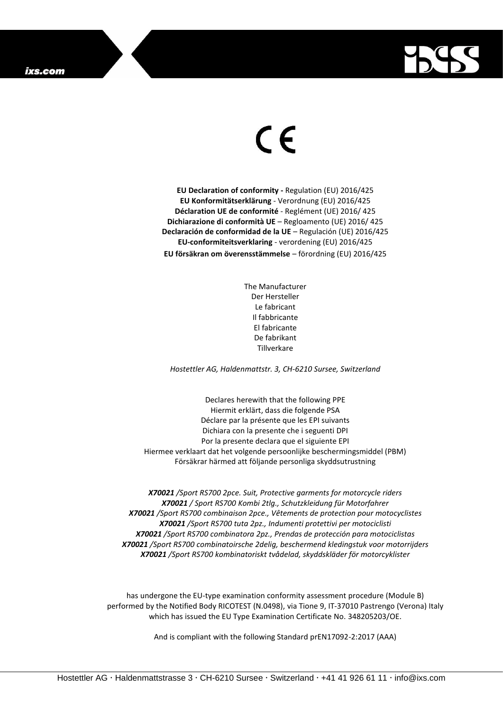

## $\epsilon$

**EU Declaration of conformity -** Regulation (EU) 2016/425 **EU Konformitätserklärung** - Verordnung (EU) 2016/425 **Déclaration UE de conformité** - Reglément (UE) 2016/ 425 **Dichiarazione di conformità UE** – Regloamento (UE) 2016/ 425 **Declaración de conformidad de la UE** – Regulación (UE) 2016/425 **EU-conformiteitsverklaring** - verordening (EU) 2016/425 **EU försäkran om överensstämmelse** – förordning (EU) 2016/425

> The Manufacturer Der Hersteller Le fabricant Il fabbricante El fabricante De fabrikant Tillverkare

*Hostettler AG, Haldenmattstr. 3, CH-6210 Sursee, Switzerland*

Declares herewith that the following PPE Hiermit erklärt, dass die folgende PSA Déclare par la présente que les EPI suivants Dichiara con la presente che i seguenti DPI Por la presente declara que el siguiente EPI Hiermee verklaart dat het volgende persoonlijke beschermingsmiddel (PBM) Försäkrar härmed att följande personliga skyddsutrustning

*X70021 /Sport RS700 2pce. Suit, Protective garments for motorcycle riders X70021 / Sport RS700 Kombi 2tlg., Schutzkleidung für Motorfahrer X70021 /Sport RS700 combinaison 2pce., Vêtements de protection pour motocyclistes X70021 /Sport RS700 tuta 2pz., Indumenti protettivi per motociclisti X70021 /Sport RS700 combinatora 2pz., Prendas de protección para motociclistas X70021 /Sport RS700 combinatoirsche 2delig, beschermend kledingstuk voor motorrijders X70021 /Sport RS700 kombinatoriskt tvådelad, skyddskläder för motorcyklister*

has undergone the EU-type examination conformity assessment procedure (Module B) performed by the Notified Body RICOTEST (N.0498), via Tione 9, IT-37010 Pastrengo (Verona) Italy which has issued the EU Type Examination Certificate No. 348205203/OE.

And is compliant with the following Standard prEN17092-2:2017 (AAA)